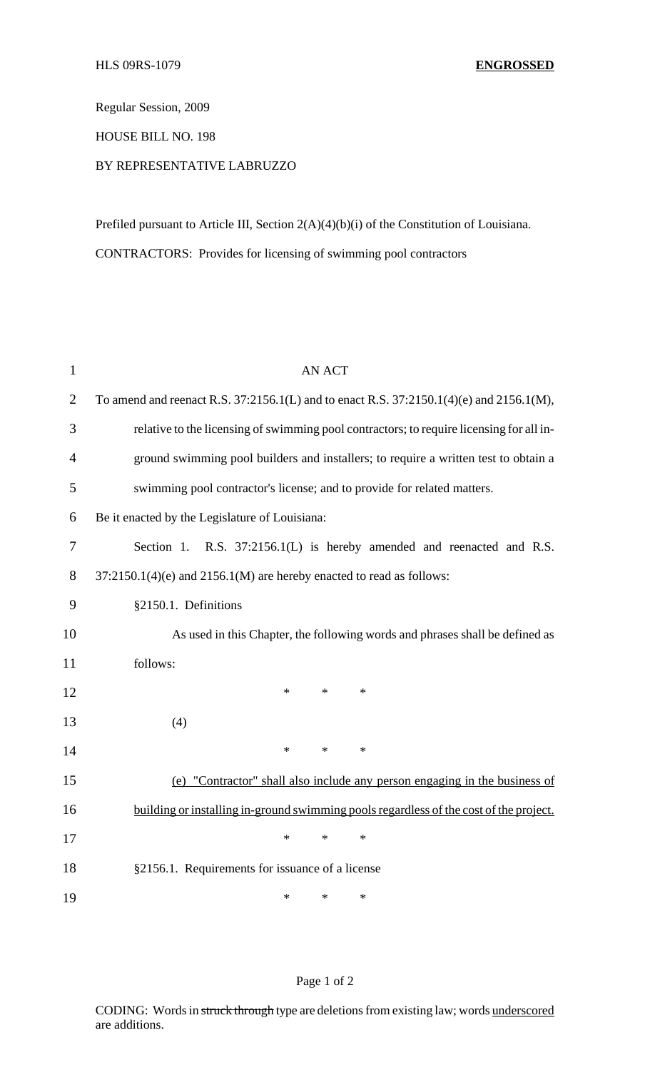Regular Session, 2009

HOUSE BILL NO. 198

## BY REPRESENTATIVE LABRUZZO

Prefiled pursuant to Article III, Section 2(A)(4)(b)(i) of the Constitution of Louisiana. CONTRACTORS: Provides for licensing of swimming pool contractors

| 1              | <b>AN ACT</b>                                                                            |
|----------------|------------------------------------------------------------------------------------------|
| $\overline{2}$ | To amend and reenact R.S. 37:2156.1(L) and to enact R.S. 37:2150.1(4)(e) and 2156.1(M),  |
| 3              | relative to the licensing of swimming pool contractors; to require licensing for all in- |
| $\overline{4}$ | ground swimming pool builders and installers; to require a written test to obtain a      |
| 5              | swimming pool contractor's license; and to provide for related matters.                  |
| 6              | Be it enacted by the Legislature of Louisiana:                                           |
| 7              | Section 1. R.S. 37:2156.1(L) is hereby amended and reenacted and R.S.                    |
| 8              | $37:2150.1(4)$ (e) and $2156.1(M)$ are hereby enacted to read as follows:                |
| 9              | §2150.1. Definitions                                                                     |
| 10             | As used in this Chapter, the following words and phrases shall be defined as             |
| 11             | follows:                                                                                 |
| 12             | *<br>$\ast$<br>$\ast$                                                                    |
| 13             | (4)                                                                                      |
| 14             | $\ast$<br>$\ast$<br>$\ast$                                                               |
| 15             | (e) "Contractor" shall also include any person engaging in the business of               |
| 16             | building or installing in-ground swimming pools regardless of the cost of the project.   |
| 17             | $\ast$<br>$\ast$<br>$\ast$                                                               |
| 18             | §2156.1. Requirements for issuance of a license                                          |
| 19             | ∗<br>$\ast$<br>*                                                                         |

## Page 1 of 2

CODING: Words in struck through type are deletions from existing law; words underscored are additions.